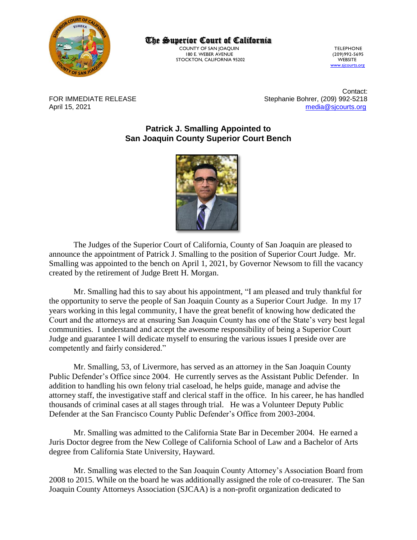

The Superior Court of California

COUNTY OF SAN JOAQUIN<br>180 E. WEBER AVENUE 1999 (209) 992-5695 180 E. WEBER AVENUE (209)992-5695 STOCKTON, CALIFORNIA 95202

[www.sjcourts.org](http://www.sjcourts.org/)

Contact: FOR IMMEDIATE RELEASE Stephanie Bohrer, (209) 992-5218 April 15, 2021 [media@sjcourts.org](mailto:media@sjcourts.org)

> **Patrick J. Smalling Appointed to San Joaquin County Superior Court Bench**



The Judges of the Superior Court of California, County of San Joaquin are pleased to announce the appointment of Patrick J. Smalling to the position of Superior Court Judge. Mr. Smalling was appointed to the bench on April 1, 2021, by Governor Newsom to fill the vacancy created by the retirement of Judge Brett H. Morgan.

Mr. Smalling had this to say about his appointment, "I am pleased and truly thankful for the opportunity to serve the people of San Joaquin County as a Superior Court Judge. In my 17 years working in this legal community, I have the great benefit of knowing how dedicated the Court and the attorneys are at ensuring San Joaquin County has one of the State's very best legal communities. I understand and accept the awesome responsibility of being a Superior Court Judge and guarantee I will dedicate myself to ensuring the various issues I preside over are competently and fairly considered."

Mr. Smalling, 53, of Livermore, has served as an attorney in the San Joaquin County Public Defender's Office since 2004. He currently serves as the Assistant Public Defender. In addition to handling his own felony trial caseload, he helps guide, manage and advise the attorney staff, the investigative staff and clerical staff in the office. In his career, he has handled thousands of criminal cases at all stages through trial. He was a Volunteer Deputy Public Defender at the San Francisco County Public Defender's Office from 2003-2004.

Mr. Smalling was admitted to the California State Bar in December 2004. He earned a Juris Doctor degree from the New College of California School of Law and a Bachelor of Arts degree from California State University, Hayward.

Mr. Smalling was elected to the San Joaquin County Attorney's Association Board from 2008 to 2015. While on the board he was additionally assigned the role of co-treasurer. The San Joaquin County Attorneys Association (SJCAA) is a non-profit organization dedicated to